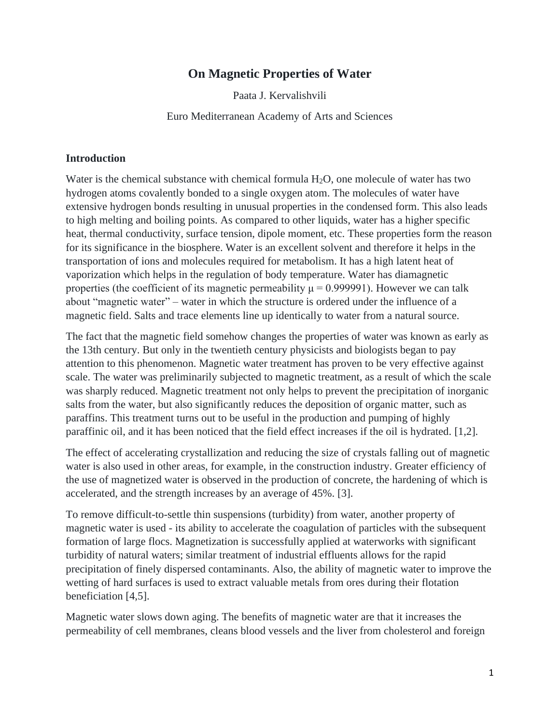## **On Magnetic Properties of Water**

Paata J. Kervalishvili

Euro Mediterranean Academy of Arts and Sciences

#### **Introduction**

Water is the chemical substance with chemical formula  $H_2O$ , one molecule of water has two hydrogen atoms covalently bonded to a single oxygen atom. The molecules of water have extensive hydrogen bonds resulting in unusual properties in the condensed form. This also leads to high melting and boiling points. As compared to other liquids, water has a higher specific heat, thermal conductivity, surface tension, dipole moment, etc. These properties form the reason for its significance in the biosphere. Water is an excellent solvent and therefore it helps in the transportation of ions and molecules required for metabolism. It has a high latent heat of vaporization which helps in the regulation of body temperature. Water has diamagnetic properties (the coefficient of its magnetic permeability  $\mu = 0.999991$ ). However we can talk about "magnetic water" – water in which the structure is ordered under the influence of a magnetic field. Salts and trace elements line up identically to water from a natural source.

The fact that the magnetic field somehow changes the properties of water was known as early as the 13th century. But only in the twentieth century physicists and biologists began to pay attention to this phenomenon. Magnetic water treatment has proven to be very effective against scale. The water was preliminarily subjected to magnetic treatment, as a result of which the scale was sharply reduced. Magnetic treatment not only helps to prevent the precipitation of inorganic salts from the water, but also significantly reduces the deposition of organic matter, such as paraffins. This treatment turns out to be useful in the production and pumping of highly paraffinic oil, and it has been noticed that the field effect increases if the oil is hydrated. [1,2].

The effect of accelerating crystallization and reducing the size of crystals falling out of magnetic water is also used in other areas, for example, in the construction industry. Greater efficiency of the use of magnetized water is observed in the production of concrete, the hardening of which is accelerated, and the strength increases by an average of 45%. [3].

To remove difficult-to-settle thin suspensions (turbidity) from water, another property of magnetic water is used - its ability to accelerate the coagulation of particles with the subsequent formation of large flocs. Magnetization is successfully applied at waterworks with significant turbidity of natural waters; similar treatment of industrial effluents allows for the rapid precipitation of finely dispersed contaminants. Also, the ability of magnetic water to improve the wetting of hard surfaces is used to extract valuable metals from ores during their flotation beneficiation [4,5].

Magnetic water slows down aging. The benefits of magnetic water are that it increases the permeability of cell membranes, cleans blood vessels and the liver from cholesterol and foreign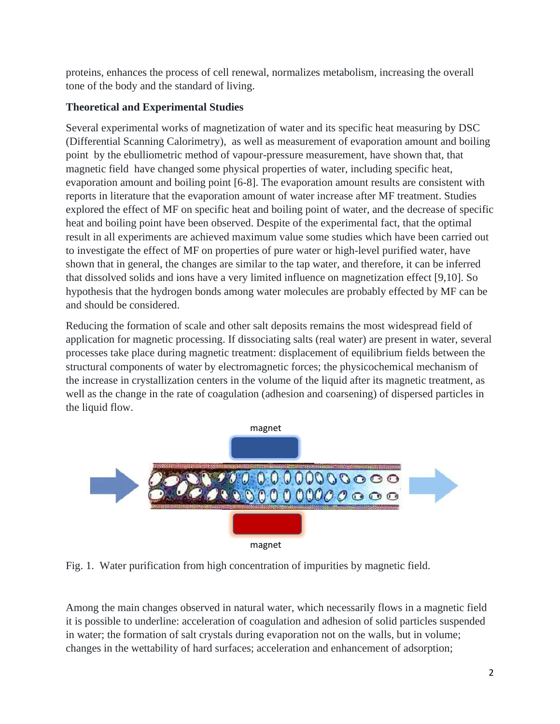proteins, enhances the process of cell renewal, normalizes metabolism, increasing the overall tone of the body and the standard of living.

# **Theoretical and Experimental Studies**

Several experimental works of magnetization of water and its specific heat measuring by DSC (Differential Scanning Calorimetry), as well as measurement of evaporation amount and boiling point by the ebulliometric method of vapour-pressure measurement, have shown that, that magnetic field have changed some physical properties of water, including specific heat, evaporation amount and boiling point [6-8]. The evaporation amount results are consistent with reports in literature that the evaporation amount of water increase after MF treatment. Studies explored the effect of MF on specific heat and boiling point of water, and the decrease of specific heat and boiling point have been observed. Despite of the experimental fact, that the optimal result in all experiments are achieved maximum value some studies which have been carried out to investigate the effect of MF on properties of pure water or high-level purified water, have shown that in general, the changes are similar to the tap water, and therefore, it can be inferred that dissolved solids and ions have a very limited influence on magnetization effect [9,10]. So hypothesis that the hydrogen bonds among water molecules are probably effected by MF can be and should be considered.

Reducing the formation of scale and other salt deposits remains the most widespread field of application for magnetic processing. If dissociating salts (real water) are present in water, several processes take place during magnetic treatment: displacement of equilibrium fields between the structural components of water by electromagnetic forces; the physicochemical mechanism of the increase in crystallization centers in the volume of the liquid after its magnetic treatment, as well as the change in the rate of coagulation (adhesion and coarsening) of dispersed particles in the liquid flow.



Fig. 1. Water purification from high concentration of impurities by magnetic field.

Among the main changes observed in natural water, which necessarily flows in a magnetic field it is possible to underline: acceleration of coagulation and adhesion of solid particles suspended in water; the formation of salt crystals during evaporation not on the walls, but in volume; changes in the wettability of hard surfaces; acceleration and enhancement of adsorption;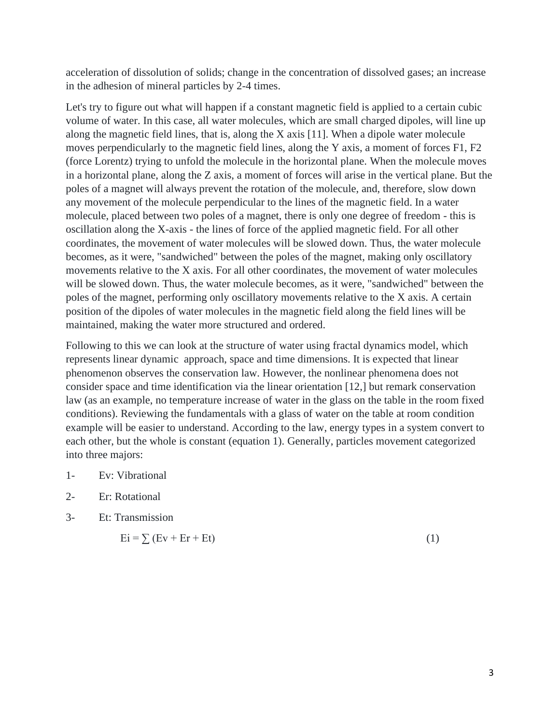acceleration of dissolution of solids; change in the concentration of dissolved gases; an increase in the adhesion of mineral particles by 2-4 times.

Let's try to figure out what will happen if a constant magnetic field is applied to a certain cubic volume of water. In this case, all water molecules, which are small charged dipoles, will line up along the magnetic field lines, that is, along the X axis [11]. When a dipole water molecule moves perpendicularly to the magnetic field lines, along the Y axis, a moment of forces F1, F2 (force Lorentz) trying to unfold the molecule in the horizontal plane. When the molecule moves in a horizontal plane, along the Z axis, a moment of forces will arise in the vertical plane. But the poles of a magnet will always prevent the rotation of the molecule, and, therefore, slow down any movement of the molecule perpendicular to the lines of the magnetic field. In a water molecule, placed between two poles of a magnet, there is only one degree of freedom - this is oscillation along the X-axis - the lines of force of the applied magnetic field. For all other coordinates, the movement of water molecules will be slowed down. Thus, the water molecule becomes, as it were, "sandwiched" between the poles of the magnet, making only oscillatory movements relative to the X axis. For all other coordinates, the movement of water molecules will be slowed down. Thus, the water molecule becomes, as it were, "sandwiched" between the poles of the magnet, performing only oscillatory movements relative to the X axis. A certain position of the dipoles of water molecules in the magnetic field along the field lines will be maintained, making the water more structured and ordered.

Following to this we can look at the structure of water using fractal dynamics model, which represents linear dynamic approach, space and time dimensions. It is expected that linear phenomenon observes the conservation law. However, the nonlinear phenomena does not consider space and time identification via the linear orientation [12,] but remark conservation law (as an example, no temperature increase of water in the glass on the table in the room fixed conditions). Reviewing the fundamentals with a glass of water on the table at room condition example will be easier to understand. According to the law, energy types in a system convert to each other, but the whole is constant (equation 1). Generally, particles movement categorized into three majors:

- 1- Ev: Vibrational
- 2- Er: Rotational
- 3- Et: Transmission

$$
Ei = \sum (Ev + Er + Et)
$$
 (1)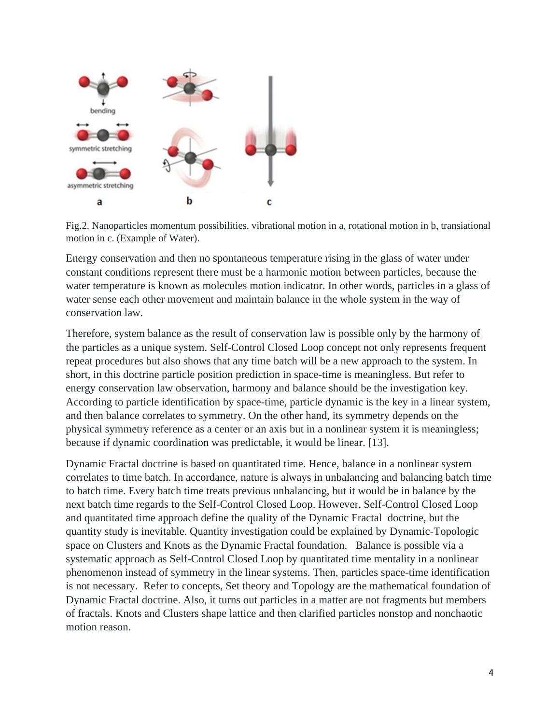

Fig.2. Nanoparticles momentum possibilities. vibrational motion in a, rotational motion in b, transiational motion in c. (Example of Water).

Energy conservation and then no spontaneous temperature rising in the glass of water under constant conditions represent there must be a harmonic motion between particles, because the water temperature is known as molecules motion indicator. In other words, particles in a glass of water sense each other movement and maintain balance in the whole system in the way of conservation law.

Therefore, system balance as the result of conservation law is possible only by the harmony of the particles as a unique system. Self-Control Closed Loop concept not only represents frequent repeat procedures but also shows that any time batch will be a new approach to the system. In short, in this doctrine particle position prediction in space-time is meaningless. But refer to energy conservation law observation, harmony and balance should be the investigation key. According to particle identification by space-time, particle dynamic is the key in a linear system, and then balance correlates to symmetry. On the other hand, its symmetry depends on the physical symmetry reference as a center or an axis but in a nonlinear system it is meaningless; because if dynamic coordination was predictable, it would be linear. [13].

Dynamic Fractal doctrine is based on quantitated time. Hence, balance in a nonlinear system correlates to time batch. In accordance, nature is always in unbalancing and balancing batch time to batch time. Every batch time treats previous unbalancing, but it would be in balance by the next batch time regards to the Self-Control Closed Loop. However, Self-Control Closed Loop and quantitated time approach define the quality of the Dynamic Fractal doctrine, but the quantity study is inevitable. Quantity investigation could be explained by Dynamic-Topologic space on Clusters and Knots as the Dynamic Fractal foundation. Balance is possible via a systematic approach as Self-Control Closed Loop by quantitated time mentality in a nonlinear phenomenon instead of symmetry in the linear systems. Then, particles space-time identification is not necessary. Refer to concepts, Set theory and Topology are the mathematical foundation of Dynamic Fractal doctrine. Also, it turns out particles in a matter are not fragments but members of fractals. Knots and Clusters shape lattice and then clarified particles nonstop and nonchaotic motion reason.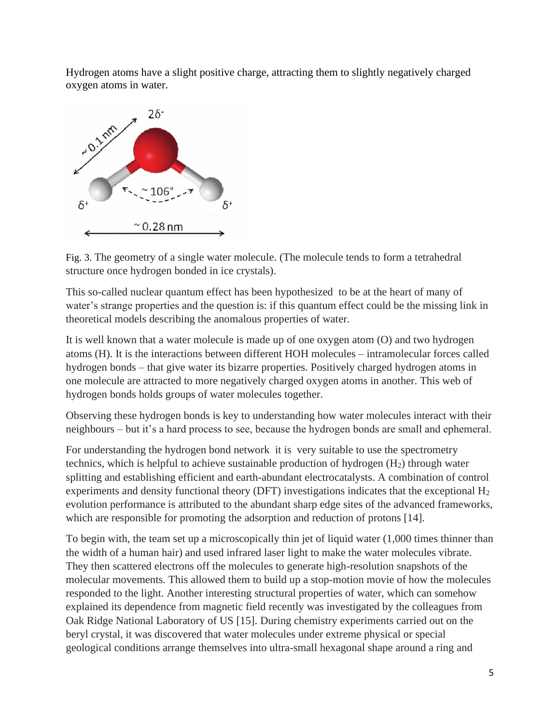Hydrogen atoms have a slight positive charge, attracting them to slightly negatively charged oxygen atoms in water.



Fig. 3. The geometry of a single water molecule. (The molecule tends to form a tetrahedral structure once hydrogen bonded in ice crystals).

This so-called nuclear quantum effect has been hypothesized to be at the heart of many of water's strange properties and the question is: if this quantum effect could be the missing link in theoretical models describing the anomalous properties of water.

It is well known that a water molecule is made up of one oxygen atom (O) and two hydrogen atoms (H). It is the interactions between different HOH molecules – intramolecular forces called hydrogen bonds – that give water its bizarre properties. Positively charged hydrogen atoms in one molecule are attracted to more negatively charged oxygen atoms in another. This web of hydrogen bonds holds groups of water molecules together.

Observing these hydrogen bonds is key to understanding how water molecules interact with their neighbours – but it's a hard process to see, because the hydrogen bonds are small and ephemeral.

For understanding the hydrogen bond network it is very suitable to use the spectrometry technics, which is helpful to achieve sustainable production of hydrogen  $(H<sub>2</sub>)$  through water splitting and establishing efficient and earth-abundant electrocatalysts. A combination of control experiments and density functional theory (DFT) investigations indicates that the exceptional H<sub>2</sub> evolution performance is attributed to the abundant sharp edge sites of the advanced frameworks, which are responsible for promoting the adsorption and reduction of protons [14].

To begin with, the team set up a microscopically thin jet of liquid water (1,000 times thinner than the width of a human hair) and used infrared laser light to make the water molecules vibrate. They then scattered electrons off the molecules to generate high-resolution snapshots of the molecular movements. This allowed them to build up a stop-motion movie of how the molecules responded to the light. Another interesting structural properties of water, which can somehow explained its dependence from magnetic field recently was investigated by the colleagues from Oak Ridge National Laboratory of US [15]. During chemistry experiments carried out on the beryl crystal, it was discovered that water molecules under extreme physical or special geological conditions arrange themselves into ultra-small hexagonal shape around a ring and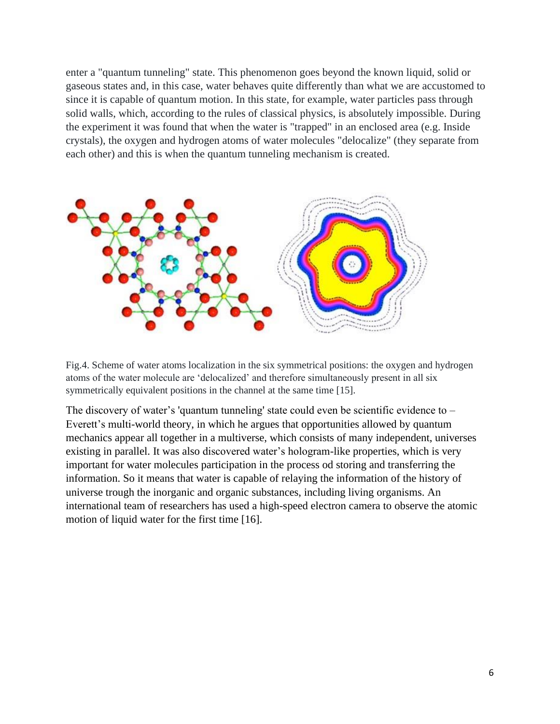enter a "quantum tunneling" state. This phenomenon goes beyond the known liquid, solid or gaseous states and, in this case, water behaves quite differently than what we are accustomed to since it is capable of quantum motion. In this state, for example, water particles pass through solid walls, which, according to the rules of classical physics, is absolutely impossible. During the experiment it was found that when the water is "trapped" in an enclosed area (e.g. Inside crystals), the oxygen and hydrogen atoms of water molecules "delocalize" (they separate from each other) and this is when the quantum tunneling mechanism is created.



Fig.4. Scheme of water atoms localization in the six symmetrical positions: the oxygen and hydrogen atoms of the water molecule are 'delocalized' and therefore simultaneously present in all six symmetrically equivalent positions in the channel at the same time [15].

The discovery of water's 'quantum tunneling' state could even be scientific evidence to – Everett's multi-world theory, in which he argues that opportunities allowed by quantum mechanics appear all together in a multiverse, which consists of many independent, universes existing in parallel. It was also discovered water's hologram-like properties, which is very important for water molecules participation in the process od storing and transferring the information. So it means that water is capable of relaying the information of the history of universe trough the inorganic and organic substances, including living organisms. An international team of researchers has used a high-speed electron camera to observe the atomic motion of liquid water for the first time [16].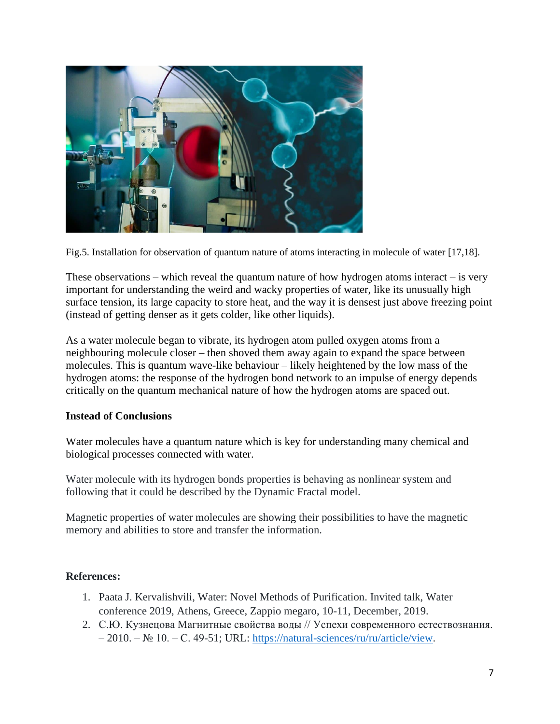

Fig.5. Installation for observation of quantum nature of atoms interacting in molecule of water [17,18].

These observations – which reveal the quantum nature of how hydrogen atoms interact – is very important for understanding the weird and wacky properties of water, like its unusually high surface tension, its large capacity to store heat, and the way it is densest just above freezing point (instead of getting denser as it gets colder, like other liquids).

As a water molecule began to vibrate, its hydrogen atom pulled oxygen atoms from a neighbouring molecule closer – then shoved them away again to expand the space between molecules. This is quantum wave-like behaviour – likely heightened by the low mass of the hydrogen atoms: the response of the hydrogen bond network to an impulse of energy depends critically on the quantum mechanical nature of how the hydrogen atoms are spaced out.

### **Instead of Conclusions**

Water molecules have a quantum nature which is key for understanding many chemical and biological processes connected with water.

Water molecule with its hydrogen bonds properties is behaving as nonlinear system and following that it could be described by the Dynamic Fractal model.

Magnetic properties of water molecules are showing their possibilities to have the magnetic memory and abilities to store and transfer the information.

### **References:**

- 1. Paata J. Kervalishvili, Water: Novel Methods of Purification. Invited talk, Water conference 2019, Athens, Greece, Zappio megaro, 10-11, December, 2019.
- 2. С.Ю. Кузнецова Mагнитные свойства воды // Успехи современного естествознания. – 2010. – № 10. – С. 49-51; URL: [https://natural-sciences/ru/ru/article/view.](https://natural-sciences/ru/ru/article/view)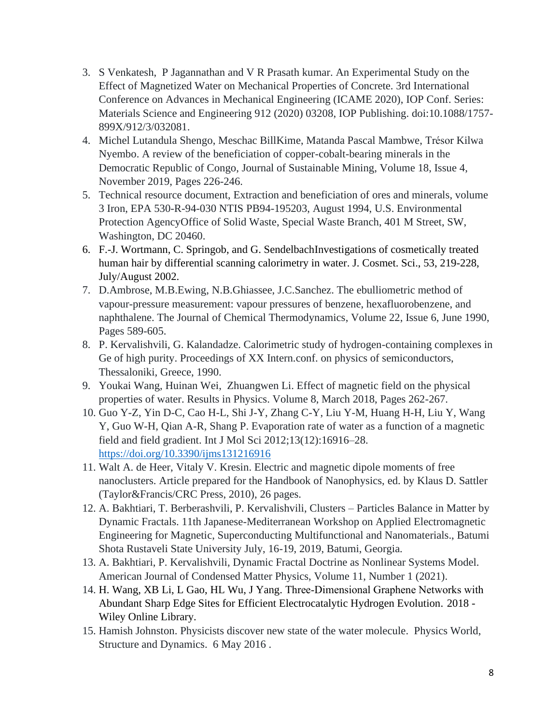- 3. S Venkatesh, P Jagannathan and V R Prasath kumar. An Experimental Study on the Effect of Magnetized Water on Mechanical Properties of Concrete. 3rd International Conference on Advances in Mechanical Engineering (ICAME 2020), IOP Conf. Series: Materials Science and Engineering 912 (2020) 03208, IOP Publishing. doi:10.1088/1757- 899X/912/3/032081.
- 4. Michel Lutandula Shengo, Meschac BillKime, Matanda Pascal Mambwe, Trésor Kilwa Nyembo. A review of the beneficiation of copper-cobalt-bearing minerals in the Democratic Republic of Congo, Journal of Sustainable Mining, Volume 18, Issue 4, November 2019, Pages 226-246.
- 5. Technical resource document, Extraction and beneficiation of ores and minerals, volume 3 Iron, EPA 530-R-94-030 NTIS PB94-195203, August 1994, U.S. Environmental Protection AgencyOffice of Solid Waste, Special Waste Branch, 401 M Street, SW, Washington, DC 20460.
- 6. F.-J. Wortmann, C. Springob, and G. SendelbachInvestigations of cosmetically treated human hair by differential scanning calorimetry in water. J. Cosmet. Sci., 53, 219-228, July/August 2002.
- 7. D.Ambrose, M.B.Ewing, N.B.Ghiassee, J.C.Sanchez. The ebulliometric method of vapour-pressure measurement: vapour pressures of benzene, hexafluorobenzene, and naphthalene. The Journal of Chemical Thermodynamics, Volume 22, Issue 6, June 1990, Pages 589-605.
- 8. P. Kervalishvili, G. Kalandadze. Calorimetric study of hydrogen-containing complexes in Ge of high purity. Proceedings of XX Intern.conf. on physics of semiconductors, Thessaloniki, Greece, 1990.
- 9. Youkai Wang, Huinan Wei, Zhuangwen Li. Effect of magnetic field on the physical properties of water. Results in Physics. Volume 8, March 2018, Pages 262-267.
- 10. Guo Y-Z, Yin D-C, Cao H-L, Shi J-Y, Zhang C-Y, Liu Y-M, Huang H-H, Liu Y, Wang Y, Guo W-H, Qian A-R, Shang P. Evaporation rate of water as a function of a magnetic field and field gradient. Int J Mol Sci 2012;13(12):16916–28. <https://doi.org/10.3390/ijms131216916>
- 11. Walt A. de Heer, Vitaly V. Kresin. Electric and magnetic dipole moments of free nanoclusters. Article prepared for the Handbook of Nanophysics, ed. by Klaus D. Sattler (Taylor&Francis/CRC Press, 2010), 26 pages.
- 12. A. Bakhtiari, T. Berberashvili, P. Kervalishvili, Clusters Particles Balance in Matter by Dynamic Fractals. 11th Japanese-Mediterranean Workshop on Applied Electromagnetic Engineering for Magnetic, Superconducting Multifunctional and Nanomaterials., Batumi Shota Rustaveli State University July, 16-19, 2019, Batumi, Georgia.
- 13. A. Bakhtiari, P. Kervalishvili, Dynamic Fractal Doctrine as Nonlinear Systems Model. American Journal of Condensed Matter Physics, Volume 11, Number 1 (2021).
- 14. H. Wang, XB Li, L Gao, HL Wu, J Yang. Three‐Dimensional Graphene Networks with Abundant Sharp Edge Sites for Efficient Electrocatalytic Hydrogen Evolution. 2018 - Wiley Online Library.
- 15. Hamish Johnston. Physicists discover new state of the water molecule. Physics World, Structure and Dynamics. 6 May 2016 .